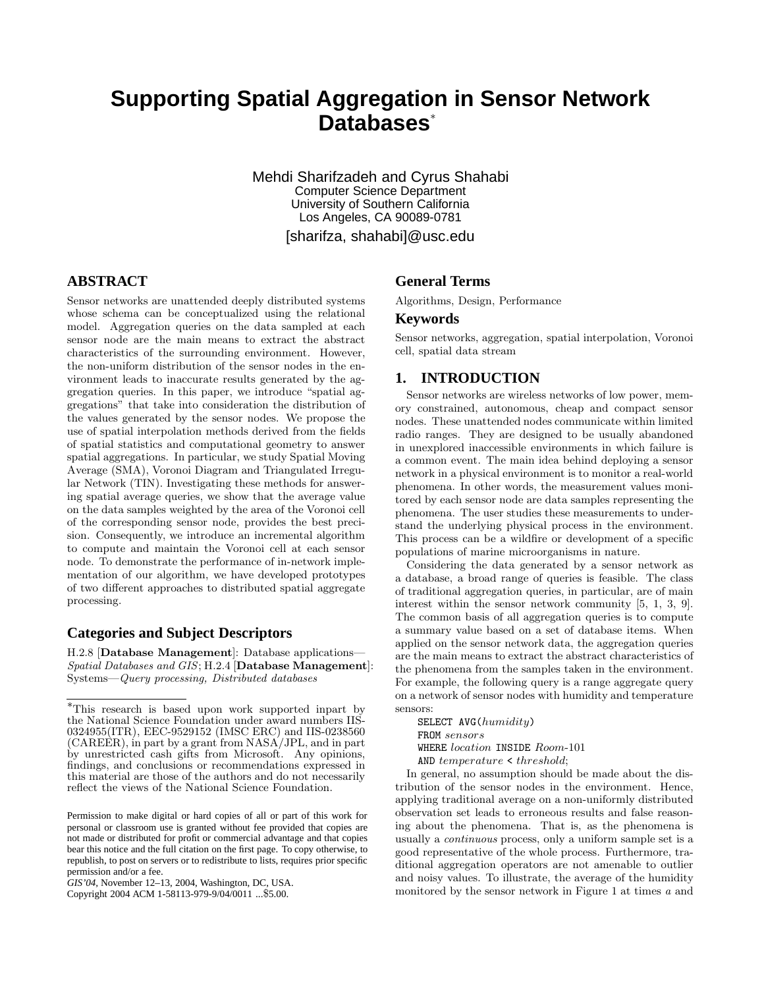# **Supporting Spatial Aggregation in Sensor Network Databases**<sup>∗</sup>

Mehdi Sharifzadeh and Cyrus Shahabi Computer Science Department University of Southern California Los Angeles, CA 90089-0781 [sharifza, shahabi]@usc.edu

# **ABSTRACT**

Sensor networks are unattended deeply distributed systems whose schema can be conceptualized using the relational model. Aggregation queries on the data sampled at each sensor node are the main means to extract the abstract characteristics of the surrounding environment. However, the non-uniform distribution of the sensor nodes in the environment leads to inaccurate results generated by the aggregation queries. In this paper, we introduce "spatial aggregations" that take into consideration the distribution of the values generated by the sensor nodes. We propose the use of spatial interpolation methods derived from the fields of spatial statistics and computational geometry to answer spatial aggregations. In particular, we study Spatial Moving Average (SMA), Voronoi Diagram and Triangulated Irregular Network (TIN). Investigating these methods for answering spatial average queries, we show that the average value on the data samples weighted by the area of the Voronoi cell of the corresponding sensor node, provides the best precision. Consequently, we introduce an incremental algorithm to compute and maintain the Voronoi cell at each sensor node. To demonstrate the performance of in-network implementation of our algorithm, we have developed prototypes of two different approaches to distributed spatial aggregate processing.

# **Categories and Subject Descriptors**

H.2.8 [**Database Management**]: Database applications— *Spatial Databases and GIS*; H.2.4 [**Database Management**]: Systems—*Query processing, Distributed databases*

Copyright 2004 ACM 1-58113-979-9/04/0011 ...\$5.00.

# **General Terms**

Algorithms, Design, Performance

#### **Keywords**

Sensor networks, aggregation, spatial interpolation, Voronoi cell, spatial data stream

# **1. INTRODUCTION**

Sensor networks are wireless networks of low power, memory constrained, autonomous, cheap and compact sensor nodes. These unattended nodes communicate within limited radio ranges. They are designed to be usually abandoned in unexplored inaccessible environments in which failure is a common event. The main idea behind deploying a sensor network in a physical environment is to monitor a real-world phenomena. In other words, the measurement values monitored by each sensor node are data samples representing the phenomena. The user studies these measurements to understand the underlying physical process in the environment. This process can be a wildfire or development of a specific populations of marine microorganisms in nature.

Considering the data generated by a sensor network as a database, a broad range of queries is feasible. The class of traditional aggregation queries, in particular, are of main interest within the sensor network community [5, 1, 3, 9]. The common basis of all aggregation queries is to compute a summary value based on a set of database items. When applied on the sensor network data, the aggregation queries are the main means to extract the abstract characteristics of the phenomena from the samples taken in the environment. For example, the following query is a range aggregate query on a network of sensor nodes with humidity and temperature sensors:

SELECT AVG(humidity) FROM sensors WHERE location INSIDE Room-101 AND temperature < threshold;

In general, no assumption should be made about the distribution of the sensor nodes in the environment. Hence, applying traditional average on a non-uniformly distributed observation set leads to erroneous results and false reasoning about the phenomena. That is, as the phenomena is usually a *continuous* process, only a uniform sample set is a good representative of the whole process. Furthermore, traditional aggregation operators are not amenable to outlier and noisy values. To illustrate, the average of the humidity monitored by the sensor network in Figure 1 at times *a* and

<sup>∗</sup>This research is based upon work supported inpart by the National Science Foundation under award numbers IIS-0324955(ITR), EEC-9529152 (IMSC ERC) and IIS-0238560 (CAREER), in part by a grant from NASA/JPL, and in part by unrestricted cash gifts from Microsoft. Any opinions, findings, and conclusions or recommendations expressed in this material are those of the authors and do not necessarily reflect the views of the National Science Foundation.

Permission to make digital or hard copies of all or part of this work for personal or classroom use is granted without fee provided that copies are not made or distributed for profit or commercial advantage and that copies bear this notice and the full citation on the first page. To copy otherwise, to republish, to post on servers or to redistribute to lists, requires prior specific permission and/or a fee.

*GIS'04,* November 12–13, 2004, Washington, DC, USA.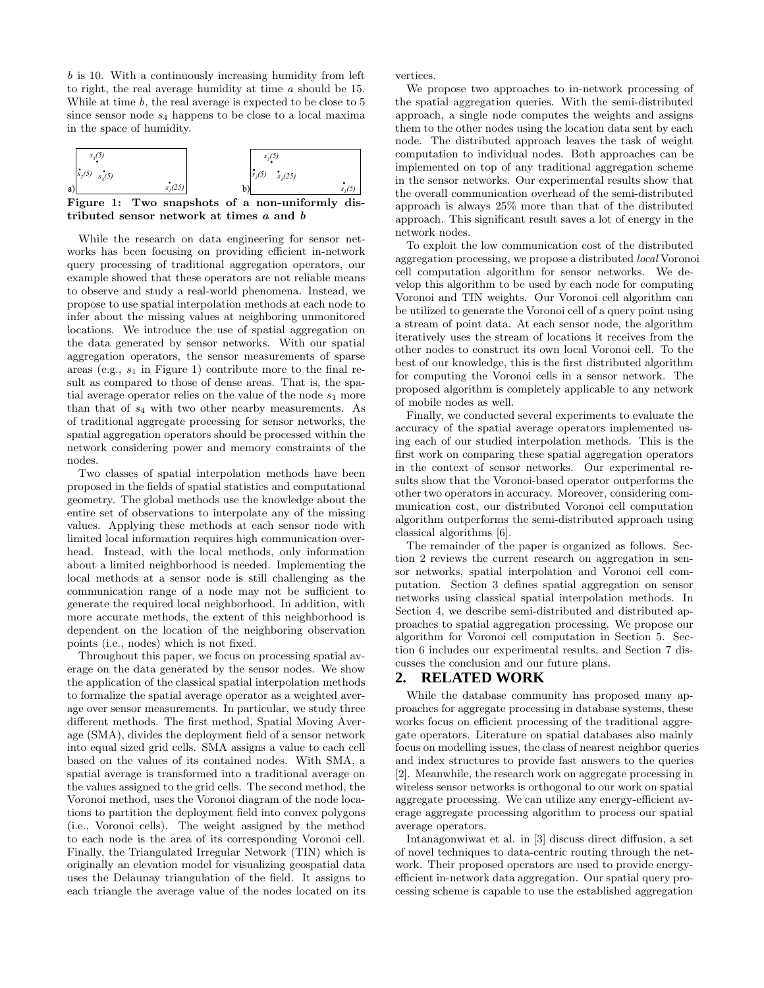*b* is 10. With a continuously increasing humidity from left to right, the real average humidity at time *a* should be 15. While at time *b*, the real average is expected to be close to 5 since sensor node s<sup>4</sup> happens to be close to a local maxima in the space of humidity.



**Figure 1: Two snapshots of a non-uniformly distributed sensor network at times** *a* **and** *b*

While the research on data engineering for sensor networks has been focusing on providing efficient in-network query processing of traditional aggregation operators, our example showed that these operators are not reliable means to observe and study a real-world phenomena. Instead, we propose to use spatial interpolation methods at each node to infer about the missing values at neighboring unmonitored locations. We introduce the use of spatial aggregation on the data generated by sensor networks. With our spatial aggregation operators, the sensor measurements of sparse areas (e.g.,  $s_1$  in Figure 1) contribute more to the final result as compared to those of dense areas. That is, the spatial average operator relies on the value of the node  $s_1$  more than that of s<sup>4</sup> with two other nearby measurements. As of traditional aggregate processing for sensor networks, the spatial aggregation operators should be processed within the network considering power and memory constraints of the nodes.

Two classes of spatial interpolation methods have been proposed in the fields of spatial statistics and computational geometry. The global methods use the knowledge about the entire set of observations to interpolate any of the missing values. Applying these methods at each sensor node with limited local information requires high communication overhead. Instead, with the local methods, only information about a limited neighborhood is needed. Implementing the local methods at a sensor node is still challenging as the communication range of a node may not be sufficient to generate the required local neighborhood. In addition, with more accurate methods, the extent of this neighborhood is dependent on the location of the neighboring observation points (i.e., nodes) which is not fixed.

Throughout this paper, we focus on processing spatial average on the data generated by the sensor nodes. We show the application of the classical spatial interpolation methods to formalize the spatial average operator as a weighted average over sensor measurements. In particular, we study three different methods. The first method, Spatial Moving Average (SMA), divides the deployment field of a sensor network into equal sized grid cells. SMA assigns a value to each cell based on the values of its contained nodes. With SMA, a spatial average is transformed into a traditional average on the values assigned to the grid cells. The second method, the Voronoi method, uses the Voronoi diagram of the node locations to partition the deployment field into convex polygons (i.e., Voronoi cells). The weight assigned by the method to each node is the area of its corresponding Voronoi cell. Finally, the Triangulated Irregular Network (TIN) which is originally an elevation model for visualizing geospatial data uses the Delaunay triangulation of the field. It assigns to each triangle the average value of the nodes located on its

vertices.

We propose two approaches to in-network processing of the spatial aggregation queries. With the semi-distributed approach, a single node computes the weights and assigns them to the other nodes using the location data sent by each node. The distributed approach leaves the task of weight computation to individual nodes. Both approaches can be implemented on top of any traditional aggregation scheme in the sensor networks. Our experimental results show that the overall communication overhead of the semi-distributed approach is always 25% more than that of the distributed approach. This significant result saves a lot of energy in the network nodes.

To exploit the low communication cost of the distributed aggregation processing, we propose a distributed *local* Voronoi cell computation algorithm for sensor networks. We develop this algorithm to be used by each node for computing Voronoi and TIN weights. Our Voronoi cell algorithm can be utilized to generate the Voronoi cell of a query point using a stream of point data. At each sensor node, the algorithm iteratively uses the stream of locations it receives from the other nodes to construct its own local Voronoi cell. To the best of our knowledge, this is the first distributed algorithm for computing the Voronoi cells in a sensor network. The proposed algorithm is completely applicable to any network of mobile nodes as well.

Finally, we conducted several experiments to evaluate the accuracy of the spatial average operators implemented using each of our studied interpolation methods. This is the first work on comparing these spatial aggregation operators in the context of sensor networks. Our experimental results show that the Voronoi-based operator outperforms the other two operators in accuracy. Moreover, considering communication cost, our distributed Voronoi cell computation algorithm outperforms the semi-distributed approach using classical algorithms [6].

The remainder of the paper is organized as follows. Section 2 reviews the current research on aggregation in sensor networks, spatial interpolation and Voronoi cell computation. Section 3 defines spatial aggregation on sensor networks using classical spatial interpolation methods. In Section 4, we describe semi-distributed and distributed approaches to spatial aggregation processing. We propose our algorithm for Voronoi cell computation in Section 5. Section 6 includes our experimental results, and Section 7 discusses the conclusion and our future plans.

# **2. RELATED WORK**

While the database community has proposed many approaches for aggregate processing in database systems, these works focus on efficient processing of the traditional aggregate operators. Literature on spatial databases also mainly focus on modelling issues, the class of nearest neighbor queries and index structures to provide fast answers to the queries [2]. Meanwhile, the research work on aggregate processing in wireless sensor networks is orthogonal to our work on spatial aggregate processing. We can utilize any energy-efficient average aggregate processing algorithm to process our spatial average operators.

Intanagonwiwat et al. in [3] discuss direct diffusion, a set of novel techniques to data-centric routing through the network. Their proposed operators are used to provide energyefficient in-network data aggregation. Our spatial query processing scheme is capable to use the established aggregation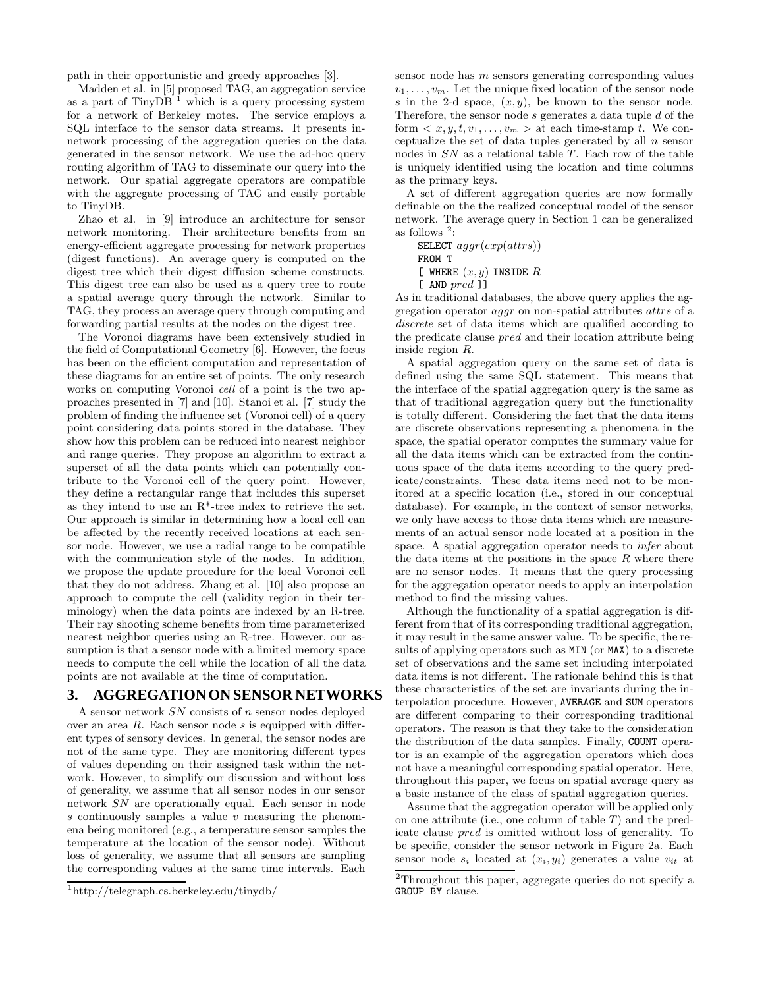path in their opportunistic and greedy approaches [3].

Madden et al. in [5] proposed TAG, an aggregation service as a part of TinyDB  $<sup>1</sup>$  which is a query processing system</sup> for a network of Berkeley motes. The service employs a SQL interface to the sensor data streams. It presents innetwork processing of the aggregation queries on the data generated in the sensor network. We use the ad-hoc query routing algorithm of TAG to disseminate our query into the network. Our spatial aggregate operators are compatible with the aggregate processing of TAG and easily portable to TinyDB.

Zhao et al. in [9] introduce an architecture for sensor network monitoring. Their architecture benefits from an energy-efficient aggregate processing for network properties (digest functions). An average query is computed on the digest tree which their digest diffusion scheme constructs. This digest tree can also be used as a query tree to route a spatial average query through the network. Similar to TAG, they process an average query through computing and forwarding partial results at the nodes on the digest tree.

The Voronoi diagrams have been extensively studied in the field of Computational Geometry [6]. However, the focus has been on the efficient computation and representation of these diagrams for an entire set of points. The only research works on computing Voronoi *cell* of a point is the two approaches presented in [7] and [10]. Stanoi et al. [7] study the problem of finding the influence set (Voronoi cell) of a query point considering data points stored in the database. They show how this problem can be reduced into nearest neighbor and range queries. They propose an algorithm to extract a superset of all the data points which can potentially contribute to the Voronoi cell of the query point. However, they define a rectangular range that includes this superset as they intend to use an R\*-tree index to retrieve the set. Our approach is similar in determining how a local cell can be affected by the recently received locations at each sensor node. However, we use a radial range to be compatible with the communication style of the nodes. In addition, we propose the update procedure for the local Voronoi cell that they do not address. Zhang et al. [10] also propose an approach to compute the cell (validity region in their terminology) when the data points are indexed by an R-tree. Their ray shooting scheme benefits from time parameterized nearest neighbor queries using an R-tree. However, our assumption is that a sensor node with a limited memory space needs to compute the cell while the location of all the data points are not available at the time of computation.

#### **3. AGGREGATION ON SENSOR NETWORKS**

A sensor network SN consists of n sensor nodes deployed over an area  $R$ . Each sensor node  $s$  is equipped with different types of sensory devices. In general, the sensor nodes are not of the same type. They are monitoring different types of values depending on their assigned task within the network. However, to simplify our discussion and without loss of generality, we assume that all sensor nodes in our sensor network SN are operationally equal. Each sensor in node s continuously samples a value v measuring the phenomena being monitored (e.g., a temperature sensor samples the temperature at the location of the sensor node). Without loss of generality, we assume that all sensors are sampling the corresponding values at the same time intervals. Each

sensor node has m sensors generating corresponding values  $v_1, \ldots, v_m$ . Let the unique fixed location of the sensor node s in the 2-d space,  $(x, y)$ , be known to the sensor node. Therefore, the sensor node  $s$  generates a data tuple  $d$  of the form  $\langle x, y, t, v_1, \ldots, v_m \rangle$  at each time-stamp t. We conceptualize the set of data tuples generated by all  $n$  sensor nodes in SN as a relational table T. Each row of the table is uniquely identified using the location and time columns as the primary keys.

A set of different aggregation queries are now formally definable on the the realized conceptual model of the sensor network. The average query in Section 1 can be generalized as follows  $2$ :

SELECT  $aggr(exp(attrs))$ 

FROM T

[ WHERE  $(x, y)$  INSIDE  $R$ 

 $[$  AND  $pred$  ]]

As in traditional databases, the above query applies the aggregation operator aggr on non-spatial attributes attrs of a *discrete* set of data items which are qualified according to the predicate clause pred and their location attribute being inside region R.

A spatial aggregation query on the same set of data is defined using the same SQL statement. This means that the interface of the spatial aggregation query is the same as that of traditional aggregation query but the functionality is totally different. Considering the fact that the data items are discrete observations representing a phenomena in the space, the spatial operator computes the summary value for all the data items which can be extracted from the continuous space of the data items according to the query predicate/constraints. These data items need not to be monitored at a specific location (i.e., stored in our conceptual database). For example, in the context of sensor networks, we only have access to those data items which are measurements of an actual sensor node located at a position in the space. A spatial aggregation operator needs to *infer* about the data items at the positions in the space  $R$  where there are no sensor nodes. It means that the query processing for the aggregation operator needs to apply an interpolation method to find the missing values.

Although the functionality of a spatial aggregation is different from that of its corresponding traditional aggregation, it may result in the same answer value. To be specific, the results of applying operators such as MIN (or MAX) to a discrete set of observations and the same set including interpolated data items is not different. The rationale behind this is that these characteristics of the set are invariants during the interpolation procedure. However, AVERAGE and SUM operators are different comparing to their corresponding traditional operators. The reason is that they take to the consideration the distribution of the data samples. Finally, COUNT operator is an example of the aggregation operators which does not have a meaningful corresponding spatial operator. Here, throughout this paper, we focus on spatial average query as a basic instance of the class of spatial aggregation queries.

Assume that the aggregation operator will be applied only on one attribute (i.e., one column of table  $T$ ) and the predicate clause pred is omitted without loss of generality. To be specific, consider the sensor network in Figure 2a. Each sensor node  $s_i$  located at  $(x_i, y_i)$  generates a value  $v_{it}$  at

<sup>1</sup>http://telegraph.cs.berkeley.edu/tinydb/

<sup>2</sup>Throughout this paper, aggregate queries do not specify a GROUP BY clause.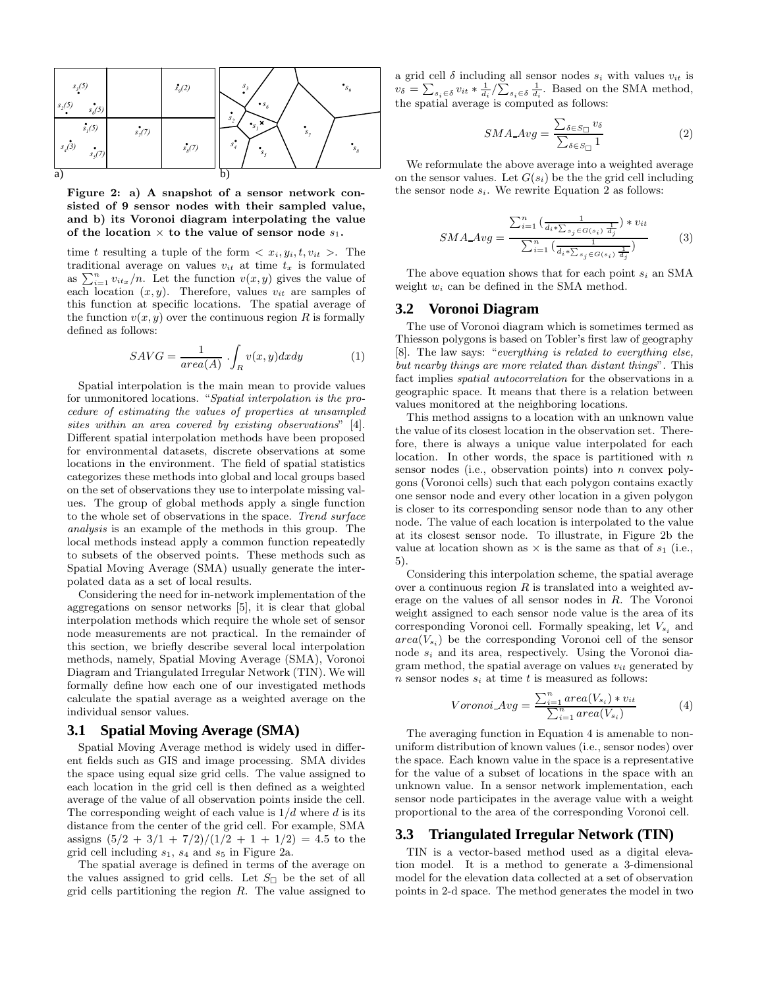

**Figure 2: a) A snapshot of a sensor network consisted of 9 sensor nodes with their sampled value, and b) its Voronoi diagram interpolating the value** of the location  $\times$  to the value of sensor node  $s_1$ .

time t resulting a tuple of the form  $\langle x_i, y_i, t, v_{it} \rangle$ . The traditional average on values  $v_{it}$  at time  $t_x$  is formulated as  $\sum_{i=1}^{n} v_{it_x}/n$ . Let the function  $v(x, y)$  gives the value of each location  $(x, y)$ . Therefore, values  $v_{it}$  are samples of this function at specific locations. The spatial average of the function  $v(x, y)$  over the continuous region R is formally defined as follows:

$$
SAVG = \frac{1}{area(A)} \cdot \int_{R} v(x, y) dx dy
$$
 (1)

Spatial interpolation is the main mean to provide values for unmonitored locations. "*Spatial interpolation is the procedure of estimating the values of properties at unsampled sites within an area covered by existing observations*" [4]. Different spatial interpolation methods have been proposed for environmental datasets, discrete observations at some locations in the environment. The field of spatial statistics categorizes these methods into global and local groups based on the set of observations they use to interpolate missing values. The group of global methods apply a single function to the whole set of observations in the space. *Trend surface analysis* is an example of the methods in this group. The local methods instead apply a common function repeatedly to subsets of the observed points. These methods such as Spatial Moving Average (SMA) usually generate the interpolated data as a set of local results.

Considering the need for in-network implementation of the aggregations on sensor networks [5], it is clear that global interpolation methods which require the whole set of sensor node measurements are not practical. In the remainder of this section, we briefly describe several local interpolation methods, namely, Spatial Moving Average (SMA), Voronoi Diagram and Triangulated Irregular Network (TIN). We will formally define how each one of our investigated methods calculate the spatial average as a weighted average on the individual sensor values.

## **3.1 Spatial Moving Average (SMA)**

Spatial Moving Average method is widely used in different fields such as GIS and image processing. SMA divides the space using equal size grid cells. The value assigned to each location in the grid cell is then defined as a weighted average of the value of all observation points inside the cell. The corresponding weight of each value is  $1/d$  where d is its distance from the center of the grid cell. For example, SMA assigns  $\frac{(5/2 + 3/1 + 7/2)}{(1/2 + 1 + 1/2)} = 4.5$  to the grid cell including  $s_1$ ,  $s_4$  and  $s_5$  in Figure 2a.

The spatial average is defined in terms of the average on the values assigned to grid cells. Let  $S_{\Box}$  be the set of all grid cells partitioning the region  $R$ . The value assigned to a grid cell  $\delta$  including all sensor nodes  $s_i$  with values  $v_{it}$  is  $v_{\delta} = \sum_{s_i \in \delta} v_{it} * \frac{1}{d_i} / \sum_{s_i \in \delta} \frac{1}{d_i}$ . Based on the SMA method, the spatial average is computed as follows:

$$
SMA\_Avg = \frac{\sum_{\delta \in S_{\square}} v_{\delta}}{\sum_{\delta \in S_{\square}} 1}
$$
 (2)

We reformulate the above average into a weighted average on the sensor values. Let  $G(s_i)$  be the the grid cell including the sensor node  $s_i$ . We rewrite Equation 2 as follows:

$$
SMA\_Avg = \frac{\sum_{i=1}^{n} \left( \frac{1}{d_{i} * \sum_{s_{j} \in G(s_{i})} \frac{1}{d_{j}}}\right) * v_{it}}{\sum_{i=1}^{n} \left( \frac{1}{d_{i} * \sum_{s_{j} \in G(s_{i})} \frac{1}{d_{j}}}\right)}
$$
(3)

The above equation shows that for each point  $s_i$  an SMA weight  $w_i$  can be defined in the SMA method.

# **3.2 Voronoi Diagram**

The use of Voronoi diagram which is sometimes termed as Thiesson polygons is based on Tobler's first law of geography [8]. The law says: "*everything is related to everything else, but nearby things are more related than distant things*". This fact implies *spatial autocorrelation* for the observations in a geographic space. It means that there is a relation between values monitored at the neighboring locations.

This method assigns to a location with an unknown value the value of its closest location in the observation set. Therefore, there is always a unique value interpolated for each location. In other words, the space is partitioned with  $n$ sensor nodes (i.e., observation points) into n convex polygons (Voronoi cells) such that each polygon contains exactly one sensor node and every other location in a given polygon is closer to its corresponding sensor node than to any other node. The value of each location is interpolated to the value at its closest sensor node. To illustrate, in Figure 2b the value at location shown as  $\times$  is the same as that of  $s_1$  (i.e., 5).

Considering this interpolation scheme, the spatial average over a continuous region  $R$  is translated into a weighted average on the values of all sensor nodes in R. The Voronoi weight assigned to each sensor node value is the area of its corresponding Voronoi cell. Formally speaking, let  $V_{s_i}$  and  $area(V_{s_i})$  be the corresponding Voronoi cell of the sensor node  $s_i$  and its area, respectively. Using the Voronoi diagram method, the spatial average on values  $v_{it}$  generated by n sensor nodes  $s_i$  at time t is measured as follows:

$$
Voronoi \tAvg = \frac{\sum_{i=1}^{n} area(V_{s_i}) * v_{it}}{\sum_{i=1}^{n} area(V_{s_i})}
$$
(4)

The averaging function in Equation 4 is amenable to nonuniform distribution of known values (i.e., sensor nodes) over the space. Each known value in the space is a representative for the value of a subset of locations in the space with an unknown value. In a sensor network implementation, each sensor node participates in the average value with a weight proportional to the area of the corresponding Voronoi cell.

## **3.3 Triangulated Irregular Network (TIN)**

TIN is a vector-based method used as a digital elevation model. It is a method to generate a 3-dimensional model for the elevation data collected at a set of observation points in 2-d space. The method generates the model in two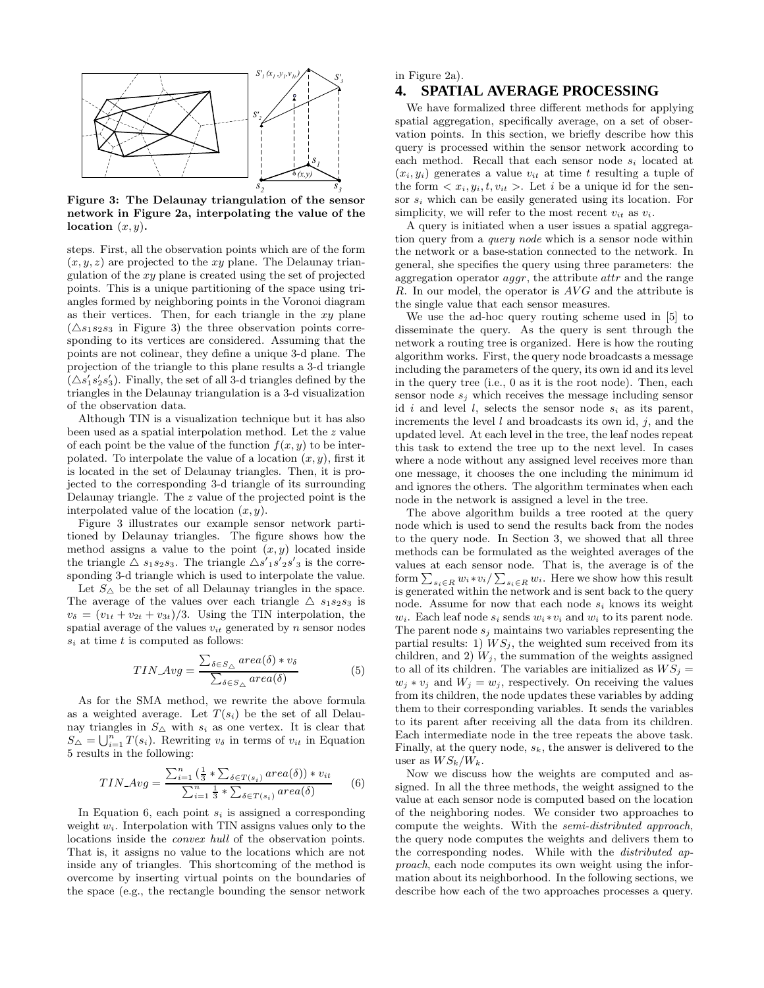

**Figure 3: The Delaunay triangulation of the sensor network in Figure 2a, interpolating the value of the**  $\textbf{location}(x, y)$ .

steps. First, all the observation points which are of the form  $(x, y, z)$  are projected to the xy plane. The Delaunay triangulation of the  $xy$  plane is created using the set of projected points. This is a unique partitioning of the space using triangles formed by neighboring points in the Voronoi diagram as their vertices. Then, for each triangle in the  $xy$  plane  $(\triangle s_1 s_2 s_3$  in Figure 3) the three observation points corresponding to its vertices are considered. Assuming that the points are not colinear, they define a unique 3-d plane. The projection of the triangle to this plane results a 3-d triangle  $(\triangle s_1's_2's_3')$ . Finally, the set of all 3-d triangles defined by the triangles in the Delaunay triangulation is a 3-d visualization of the observation data.

Although TIN is a visualization technique but it has also been used as a spatial interpolation method. Let the z value of each point be the value of the function  $f(x, y)$  to be interpolated. To interpolate the value of a location  $(x, y)$ , first it is located in the set of Delaunay triangles. Then, it is projected to the corresponding 3-d triangle of its surrounding Delaunay triangle. The z value of the projected point is the interpolated value of the location  $(x, y)$ .

Figure 3 illustrates our example sensor network partitioned by Delaunay triangles. The figure shows how the method assigns a value to the point  $(x, y)$  located inside the triangle  $\triangle s_1 s_2 s_3$ . The triangle  $\triangle s_1' s_2' s_3'$  is the corresponding 3-d triangle which is used to interpolate the value.

Let  $S_{\Delta}$  be the set of all Delaunay triangles in the space. The average of the values over each triangle  $\triangle$   $s_1s_2s_3$  is  $v_{\delta} = (v_{1t} + v_{2t} + v_{3t})/3$ . Using the TIN interpolation, the spatial average of the values  $v_{it}$  generated by n sensor nodes  $s_i$  at time t is computed as follows:

$$
TIN \text{A}vg = \frac{\sum_{\delta \in S_{\triangle}} area(\delta) * v_{\delta}}{\sum_{\delta \in S_{\triangle}} area(\delta)} \tag{5}
$$

As for the SMA method, we rewrite the above formula as a weighted average. Let  $T(s_i)$  be the set of all Delaunay triangles in  $S_{\Delta}$  with  $s_i$  as one vertex. It is clear that  $S_{\triangle} = \bigcup_{i=1}^{n} T(s_i)$ . Rewriting  $v_{\delta}$  in terms of  $v_{it}$  in Equation 5 results in the following:

$$
TIN \_Avg = \frac{\sum_{i=1}^{n} \left(\frac{1}{3} * \sum_{\delta \in T(s_i)} area(\delta)\right) * v_{it}}{\sum_{i=1}^{n} \frac{1}{3} * \sum_{\delta \in T(s_i)} area(\delta)} \tag{6}
$$

In Equation 6, each point  $s_i$  is assigned a corresponding weight  $w_i$ . Interpolation with TIN assigns values only to the locations inside the *convex hull* of the observation points. That is, it assigns no value to the locations which are not inside any of triangles. This shortcoming of the method is overcome by inserting virtual points on the boundaries of the space (e.g., the rectangle bounding the sensor network

in Figure 2a).

### **4. SPATIAL AVERAGE PROCESSING**

We have formalized three different methods for applying spatial aggregation, specifically average, on a set of observation points. In this section, we briefly describe how this query is processed within the sensor network according to each method. Recall that each sensor node  $s_i$  located at  $(x_i, y_i)$  generates a value  $v_{it}$  at time t resulting a tuple of the form  $\langle x_i, y_i, t, v_{it} \rangle$ . Let i be a unique id for the sensor  $s_i$  which can be easily generated using its location. For simplicity, we will refer to the most recent  $v_{it}$  as  $v_i$ .

A query is initiated when a user issues a spatial aggregation query from a *query node* which is a sensor node within the network or a base-station connected to the network. In general, she specifies the query using three parameters: the aggregation operator aggr, the attribute attr and the range R. In our model, the operator is  $AVG$  and the attribute is the single value that each sensor measures.

We use the ad-hoc query routing scheme used in [5] to disseminate the query. As the query is sent through the network a routing tree is organized. Here is how the routing algorithm works. First, the query node broadcasts a message including the parameters of the query, its own id and its level in the query tree (i.e., 0 as it is the root node). Then, each sensor node  $s_i$  which receives the message including sensor id i and level l, selects the sensor node  $s_i$  as its parent, increments the level  $l$  and broadcasts its own id,  $j$ , and the updated level. At each level in the tree, the leaf nodes repeat this task to extend the tree up to the next level. In cases where a node without any assigned level receives more than one message, it chooses the one including the minimum id and ignores the others. The algorithm terminates when each node in the network is assigned a level in the tree.

The above algorithm builds a tree rooted at the query node which is used to send the results back from the nodes to the query node. In Section 3, we showed that all three methods can be formulated as the weighted averages of the values at each sensor node. That is, the average is of the form  $\sum_{s_i \in R} w_i * v_i / \sum_{s_i \in R} w_i$ . Here we show how this result is generated within the network and is sent back to the query node. Assume for now that each node  $s_i$  knows its weight  $w_i$ . Each leaf node  $s_i$  sends  $w_i * v_i$  and  $w_i$  to its parent node. The parent node  $s_j$  maintains two variables representing the partial results: 1)  $WS_j$ , the weighted sum received from its children, and 2)  $W_j$ , the summation of the weights assigned to all of its children. The variables are initialized as  $WS_j =$  $w_j * v_j$  and  $W_j = w_j$ , respectively. On receiving the values from its children, the node updates these variables by adding them to their corresponding variables. It sends the variables to its parent after receiving all the data from its children. Each intermediate node in the tree repeats the above task. Finally, at the query node,  $s_k$ , the answer is delivered to the user as  $WS_k/W_k$ .

Now we discuss how the weights are computed and assigned. In all the three methods, the weight assigned to the value at each sensor node is computed based on the location of the neighboring nodes. We consider two approaches to compute the weights. With the *semi-distributed approach*, the query node computes the weights and delivers them to the corresponding nodes. While with the *distributed approach*, each node computes its own weight using the information about its neighborhood. In the following sections, we describe how each of the two approaches processes a query.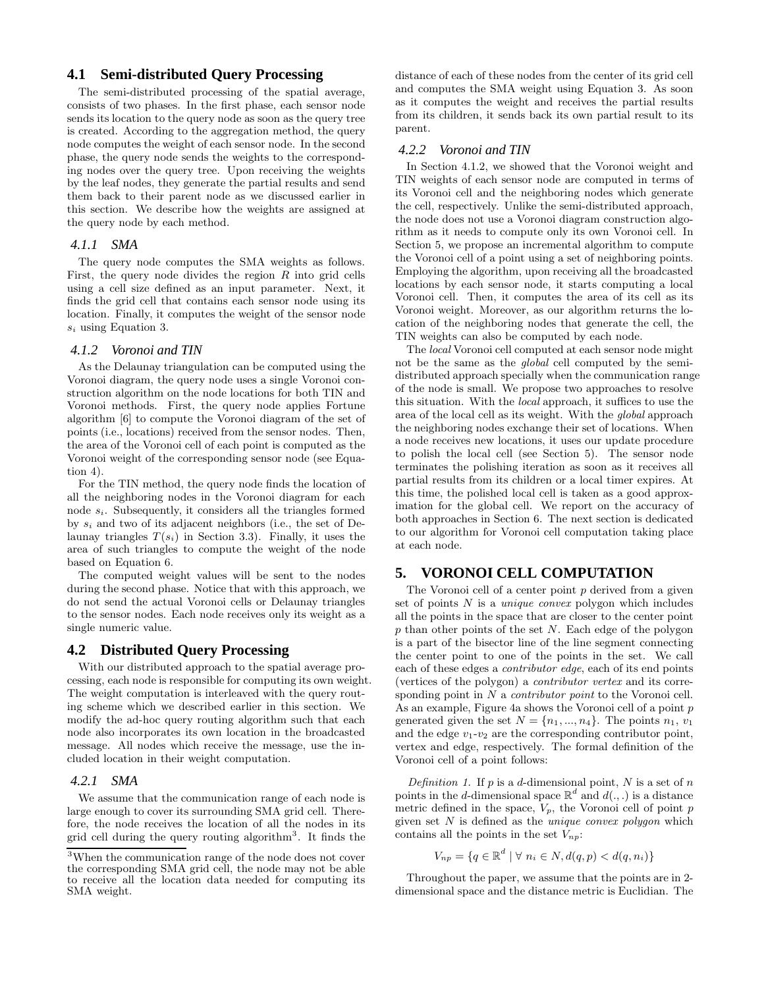# **4.1 Semi-distributed Query Processing**

The semi-distributed processing of the spatial average, consists of two phases. In the first phase, each sensor node sends its location to the query node as soon as the query tree is created. According to the aggregation method, the query node computes the weight of each sensor node. In the second phase, the query node sends the weights to the corresponding nodes over the query tree. Upon receiving the weights by the leaf nodes, they generate the partial results and send them back to their parent node as we discussed earlier in this section. We describe how the weights are assigned at the query node by each method.

#### *4.1.1 SMA*

The query node computes the SMA weights as follows. First, the query node divides the region  $R$  into grid cells using a cell size defined as an input parameter. Next, it finds the grid cell that contains each sensor node using its location. Finally, it computes the weight of the sensor node  $s_i$  using Equation 3.

#### *4.1.2 Voronoi and TIN*

As the Delaunay triangulation can be computed using the Voronoi diagram, the query node uses a single Voronoi construction algorithm on the node locations for both TIN and Voronoi methods. First, the query node applies Fortune algorithm [6] to compute the Voronoi diagram of the set of points (i.e., locations) received from the sensor nodes. Then, the area of the Voronoi cell of each point is computed as the Voronoi weight of the corresponding sensor node (see Equation 4).

For the TIN method, the query node finds the location of all the neighboring nodes in the Voronoi diagram for each node  $s_i$ . Subsequently, it considers all the triangles formed by  $s_i$  and two of its adjacent neighbors (i.e., the set of Delaunay triangles  $T(s_i)$  in Section 3.3). Finally, it uses the area of such triangles to compute the weight of the node based on Equation 6.

The computed weight values will be sent to the nodes during the second phase. Notice that with this approach, we do not send the actual Voronoi cells or Delaunay triangles to the sensor nodes. Each node receives only its weight as a single numeric value.

## **4.2 Distributed Query Processing**

With our distributed approach to the spatial average processing, each node is responsible for computing its own weight. The weight computation is interleaved with the query routing scheme which we described earlier in this section. We modify the ad-hoc query routing algorithm such that each node also incorporates its own location in the broadcasted message. All nodes which receive the message, use the included location in their weight computation.

#### *4.2.1 SMA*

We assume that the communication range of each node is large enough to cover its surrounding SMA grid cell. Therefore, the node receives the location of all the nodes in its grid cell during the query routing algorithm<sup>3</sup>. It finds the distance of each of these nodes from the center of its grid cell and computes the SMA weight using Equation 3. As soon as it computes the weight and receives the partial results from its children, it sends back its own partial result to its parent.

#### *4.2.2 Voronoi and TIN*

In Section 4.1.2, we showed that the Voronoi weight and TIN weights of each sensor node are computed in terms of its Voronoi cell and the neighboring nodes which generate the cell, respectively. Unlike the semi-distributed approach, the node does not use a Voronoi diagram construction algorithm as it needs to compute only its own Voronoi cell. In Section 5, we propose an incremental algorithm to compute the Voronoi cell of a point using a set of neighboring points. Employing the algorithm, upon receiving all the broadcasted locations by each sensor node, it starts computing a local Voronoi cell. Then, it computes the area of its cell as its Voronoi weight. Moreover, as our algorithm returns the location of the neighboring nodes that generate the cell, the TIN weights can also be computed by each node.

The *local* Voronoi cell computed at each sensor node might not be the same as the *global* cell computed by the semidistributed approach specially when the communication range of the node is small. We propose two approaches to resolve this situation. With the *local* approach, it suffices to use the area of the local cell as its weight. With the *global* approach the neighboring nodes exchange their set of locations. When a node receives new locations, it uses our update procedure to polish the local cell (see Section 5). The sensor node terminates the polishing iteration as soon as it receives all partial results from its children or a local timer expires. At this time, the polished local cell is taken as a good approximation for the global cell. We report on the accuracy of both approaches in Section 6. The next section is dedicated to our algorithm for Voronoi cell computation taking place at each node.

# **5. VORONOI CELL COMPUTATION**

The Voronoi cell of a center point  $p$  derived from a given set of points N is a *unique convex* polygon which includes all the points in the space that are closer to the center point  $p$  than other points of the set  $N$ . Each edge of the polygon is a part of the bisector line of the line segment connecting the center point to one of the points in the set. We call each of these edges a *contributor edge*, each of its end points (vertices of the polygon) a *contributor vertex* and its corresponding point in N a *contributor point* to the Voronoi cell. As an example, Figure 4a shows the Voronoi cell of a point  $p$ generated given the set  $N = \{n_1, ..., n_4\}$ . The points  $n_1, v_1$ and the edge  $v_1-v_2$  are the corresponding contributor point, vertex and edge, respectively. The formal definition of the Voronoi cell of a point follows:

*Definition 1.* If  $p$  is a  $d$ -dimensional point,  $N$  is a set of  $n$ points in the d-dimensional space  $\mathbb{R}^d$  and  $d(.,.)$  is a distance metric defined in the space,  $V_p$ , the Voronoi cell of point  $p$ given set N is defined as the *unique convex polygon* which contains all the points in the set  $V_{np}$ :

$$
V_{np} = \{q \in \mathbb{R}^d \mid \forall n_i \in N, d(q, p) < d(q, n_i)\}
$$

Throughout the paper, we assume that the points are in 2 dimensional space and the distance metric is Euclidian. The

<sup>3</sup>When the communication range of the node does not cover the corresponding SMA grid cell, the node may not be able to receive all the location data needed for computing its SMA weight.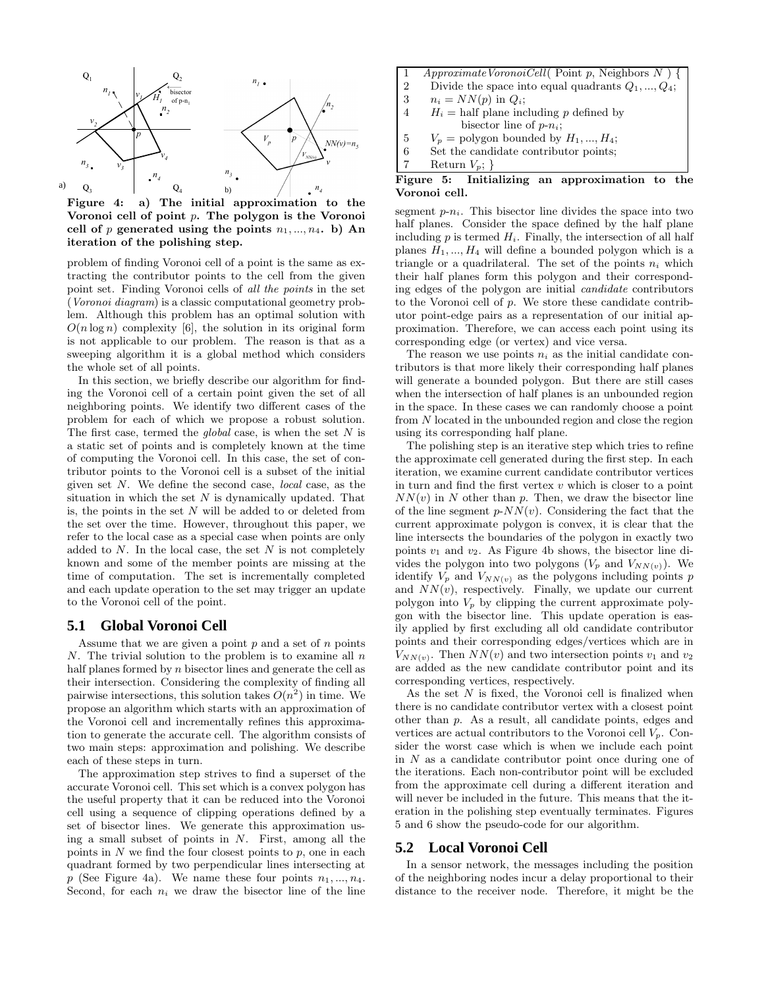

**Figure 4: a) The initial approximation to the Voronoi cell of point** p**. The polygon is the Voronoi** cell of p generated using the points  $n_1, ..., n_4$ . b) An **iteration of the polishing step.**

problem of finding Voronoi cell of a point is the same as extracting the contributor points to the cell from the given point set. Finding Voronoi cells of *all the points* in the set (*Voronoi diagram*) is a classic computational geometry problem. Although this problem has an optimal solution with  $O(n \log n)$  complexity [6], the solution in its original form is not applicable to our problem. The reason is that as a sweeping algorithm it is a global method which considers the whole set of all points.

In this section, we briefly describe our algorithm for finding the Voronoi cell of a certain point given the set of all neighboring points. We identify two different cases of the problem for each of which we propose a robust solution. The first case, termed the *global* case, is when the set N is a static set of points and is completely known at the time of computing the Voronoi cell. In this case, the set of contributor points to the Voronoi cell is a subset of the initial given set N. We define the second case, *local* case, as the situation in which the set  $N$  is dynamically updated. That is, the points in the set  $N$  will be added to or deleted from the set over the time. However, throughout this paper, we refer to the local case as a special case when points are only added to  $N$ . In the local case, the set  $N$  is not completely known and some of the member points are missing at the time of computation. The set is incrementally completed and each update operation to the set may trigger an update to the Voronoi cell of the point.

## **5.1 Global Voronoi Cell**

Assume that we are given a point  $p$  and a set of  $n$  points N. The trivial solution to the problem is to examine all  $n$ half planes formed by  $n$  bisector lines and generate the cell as their intersection. Considering the complexity of finding all pairwise intersections, this solution takes  $O(n^2)$  in time. We propose an algorithm which starts with an approximation of the Voronoi cell and incrementally refines this approximation to generate the accurate cell. The algorithm consists of two main steps: approximation and polishing. We describe each of these steps in turn.

The approximation step strives to find a superset of the accurate Voronoi cell. This set which is a convex polygon has the useful property that it can be reduced into the Voronoi cell using a sequence of clipping operations defined by a set of bisector lines. We generate this approximation using a small subset of points in  $N$ . First, among all the points in  $N$  we find the four closest points to  $p$ , one in each quadrant formed by two perpendicular lines intersecting at p (See Figure 4a). We name these four points  $n_1, ..., n_4$ . Second, for each  $n_i$  we draw the bisector line of the line

|                | $\overline{Approximate}$ VoronoiCell(Point p, Neighbors N) { |
|----------------|--------------------------------------------------------------|
| $\overline{2}$ | Divide the space into equal quadrants $Q_1, , Q_4$ ;         |
| 3              | $n_i = NN(p)$ in $Q_i$ ;                                     |
| $\overline{4}$ | $H_i =$ half plane including p defined by                    |
|                | bisector line of $p$ -n <sub>i</sub> :                       |
| $\overline{5}$ | $V_p =$ polygon bounded by $H_1, , H_4$ ;                    |
| 6              | Set the candidate contributor points;                        |
|                | Return $V_n$ : }                                             |

**Figure 5: Initializing an approximation to the Voronoi cell.**

segment  $p - n_i$ . This bisector line divides the space into two half planes. Consider the space defined by the half plane including  $p$  is termed  $H_i$ . Finally, the intersection of all half planes  $H_1, ..., H_4$  will define a bounded polygon which is a triangle or a quadrilateral. The set of the points  $n_i$  which their half planes form this polygon and their corresponding edges of the polygon are initial *candidate* contributors to the Voronoi cell of p. We store these candidate contributor point-edge pairs as a representation of our initial approximation. Therefore, we can access each point using its corresponding edge (or vertex) and vice versa.

The reason we use points  $n_i$  as the initial candidate contributors is that more likely their corresponding half planes will generate a bounded polygon. But there are still cases when the intersection of half planes is an unbounded region in the space. In these cases we can randomly choose a point from N located in the unbounded region and close the region using its corresponding half plane.

The polishing step is an iterative step which tries to refine the approximate cell generated during the first step. In each iteration, we examine current candidate contributor vertices in turn and find the first vertex  $v$  which is closer to a point  $NN(v)$  in N other than p. Then, we draw the bisector line of the line segment  $p-NN(v)$ . Considering the fact that the current approximate polygon is convex, it is clear that the line intersects the boundaries of the polygon in exactly two points  $v_1$  and  $v_2$ . As Figure 4b shows, the bisector line divides the polygon into two polygons  $(V_p$  and  $V_{NN(v)}$ ). We identify  $V_p$  and  $V_{NN(v)}$  as the polygons including points p and  $NN(v)$ , respectively. Finally, we update our current polygon into  $V_p$  by clipping the current approximate polygon with the bisector line. This update operation is easily applied by first excluding all old candidate contributor points and their corresponding edges/vertices which are in  $V_{NN(v)}$ . Then  $NN(v)$  and two intersection points  $v_1$  and  $v_2$ are added as the new candidate contributor point and its corresponding vertices, respectively.

As the set N is fixed, the Voronoi cell is finalized when there is no candidate contributor vertex with a closest point other than p. As a result, all candidate points, edges and vertices are actual contributors to the Voronoi cell  $V_p$ . Consider the worst case which is when we include each point in  $N$  as a candidate contributor point once during one of the iterations. Each non-contributor point will be excluded from the approximate cell during a different iteration and will never be included in the future. This means that the iteration in the polishing step eventually terminates. Figures 5 and 6 show the pseudo-code for our algorithm.

## **5.2 Local Voronoi Cell**

In a sensor network, the messages including the position of the neighboring nodes incur a delay proportional to their distance to the receiver node. Therefore, it might be the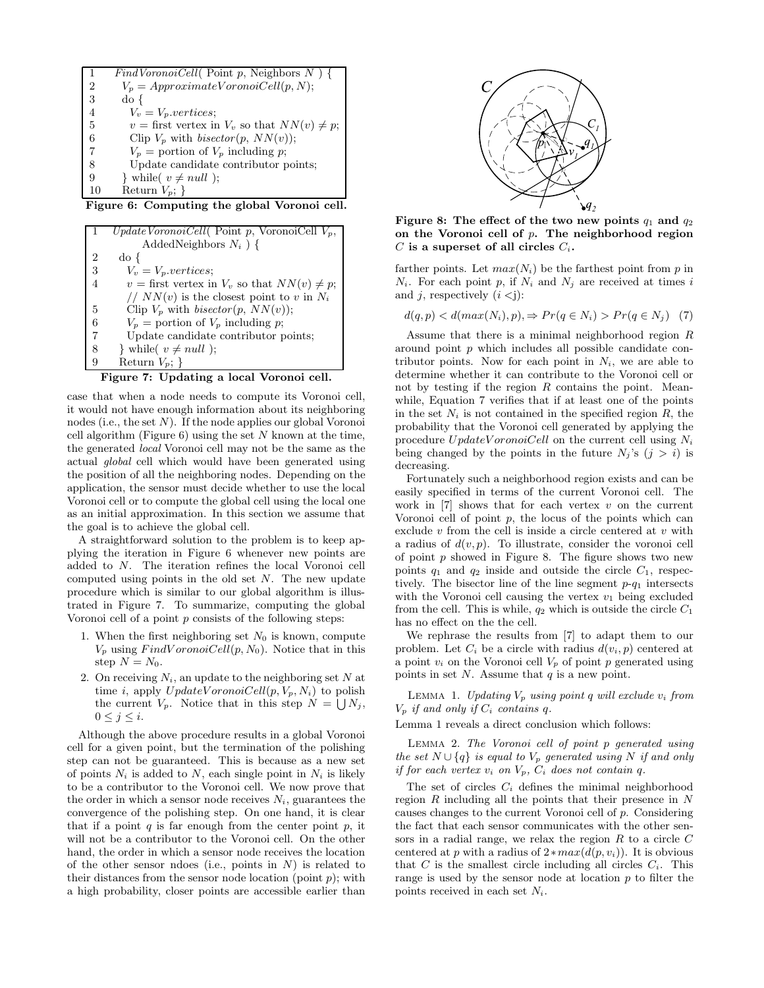|                | $Find VoronoiCell$ (Point p, Neighbors N)            |
|----------------|------------------------------------------------------|
| $\overline{2}$ | $V_p = ApproximateV or onoiCell(p, N);$              |
| 3              | $\text{do}$                                          |
| $\overline{4}$ | $V_v = V_n \text{.} vertices;$                       |
| 5              | $v =$ first vertex in $V_v$ so that $NN(v) \neq p$ ; |
| 6              | Clip $V_p$ with <i>bisector</i> (p, $NN(v)$ );       |
|                | $V_p$ = portion of $V_p$ including p;                |
| 8              | Update candidate contributor points;                 |
| 9              | } while( $v \neq null$ );                            |
| 10             | Return $V_n$ ; }                                     |

**Figure 6: Computing the global Voronoi cell.**

1 *UpdateVoronoiCell* (Point p, VoronoiCell  $V_p$ , AddedNeighbors  $N_i$  ) { 2 do { 3  $V_v = V_p \cdot vertices;$ 4  $v = \text{first vertex in } V_v \text{ so that } NN(v) \neq p;$ //  $NN(v)$  is the closest point to v in  $N_i$ 5 Clip  $V_p$  with *bisector*(p,  $NN(v)$ ); 6  $V_p =$  portion of  $V_p$  including p; 7 Update candidate contributor points; 8 } while( $v \neq null$ ); Return  $V_p$ ; }



case that when a node needs to compute its Voronoi cell, it would not have enough information about its neighboring nodes (i.e., the set  $N$ ). If the node applies our global Voronoi cell algorithm (Figure  $6$ ) using the set N known at the time, the generated *local* Voronoi cell may not be the same as the actual *global* cell which would have been generated using the position of all the neighboring nodes. Depending on the application, the sensor must decide whether to use the local Voronoi cell or to compute the global cell using the local one as an initial approximation. In this section we assume that the goal is to achieve the global cell.

A straightforward solution to the problem is to keep applying the iteration in Figure 6 whenever new points are added to N. The iteration refines the local Voronoi cell computed using points in the old set  $N$ . The new update procedure which is similar to our global algorithm is illustrated in Figure 7. To summarize, computing the global Voronoi cell of a point  $p$  consists of the following steps:

- 1. When the first neighboring set  $N_0$  is known, compute  $V_p$  using  $FindV or onoiCell(p, N_0)$ . Notice that in this step  $N = N_0$ .
- 2. On receiving  $N_i$ , an update to the neighboring set N at time *i*, apply  $UpdateV or onoiCell(p, V_p, N_i)$  to polish the current  $V_p$ . Notice that in this step  $N = \bigcup N_j$ ,  $0 \leq j \leq i$ .

Although the above procedure results in a global Voronoi cell for a given point, but the termination of the polishing step can not be guaranteed. This is because as a new set of points  $N_i$  is added to N, each single point in  $N_i$  is likely to be a contributor to the Voronoi cell. We now prove that the order in which a sensor node receives  $N_i$ , guarantees the convergence of the polishing step. On one hand, it is clear that if a point  $q$  is far enough from the center point  $p$ , it will not be a contributor to the Voronoi cell. On the other hand, the order in which a sensor node receives the location of the other sensor ndoes (i.e., points in  $N$ ) is related to their distances from the sensor node location (point  $p$ ); with a high probability, closer points are accessible earlier than



**Figure 8:** The effect of the two new points  $q_1$  and  $q_2$ **on the Voronoi cell of** p**. The neighborhood region** C is a superset of all circles  $C_i$ **.** 

farther points. Let  $max(N_i)$  be the farthest point from p in  $N_i$ . For each point p, if  $N_i$  and  $N_j$  are received at times i and j, respectively  $(i \le j)$ :

$$
d(q, p) < d(max(N_i), p), \Rightarrow Pr(q \in N_i) > Pr(q \in N_j) \tag{7}
$$

Assume that there is a minimal neighborhood region R around point p which includes all possible candidate contributor points. Now for each point in  $N_i$ , we are able to determine whether it can contribute to the Voronoi cell or not by testing if the region  $R$  contains the point. Meanwhile, Equation 7 verifies that if at least one of the points in the set  $N_i$  is not contained in the specified region R, the probability that the Voronoi cell generated by applying the procedure  $UpdateV or on oilCell$  on the current cell using  $N_i$ being changed by the points in the future  $N_j$ 's  $(j>i)$  is decreasing.

Fortunately such a neighborhood region exists and can be easily specified in terms of the current Voronoi cell. The work in  $[7]$  shows that for each vertex  $v$  on the current Voronoi cell of point  $p$ , the locus of the points which can exclude  $v$  from the cell is inside a circle centered at  $v$  with a radius of  $d(v, p)$ . To illustrate, consider the voronoi cell of point  $p$  showed in Figure 8. The figure shows two new points  $q_1$  and  $q_2$  inside and outside the circle  $C_1$ , respectively. The bisector line of the line segment  $p-q_1$  intersects with the Voronoi cell causing the vertex  $v_1$  being excluded from the cell. This is while,  $q_2$  which is outside the circle  $C_1$ has no effect on the the cell.

We rephrase the results from [7] to adapt them to our problem. Let  $C_i$  be a circle with radius  $d(v_i, p)$  centered at a point  $v_i$  on the Voronoi cell  $V_p$  of point p generated using points in set  $N$ . Assume that  $q$  is a new point.

LEMMA 1. *Updating*  $V_p$  *using point q will exclude*  $v_i$  *from*  $V_p$  *if and only if*  $C_i$  *contains q.* 

Lemma 1 reveals a direct conclusion which follows:

Lemma 2. *The Voronoi cell of point* p *generated using the set*  $N \cup \{q\}$  *is equal to*  $V_p$  *generated using*  $N$  *if and only if for each vertex*  $v_i$  *on*  $V_p$ *,*  $C_i$  *does not contain q*.

The set of circles  $C_i$  defines the minimal neighborhood region R including all the points that their presence in N causes changes to the current Voronoi cell of p. Considering the fact that each sensor communicates with the other sensors in a radial range, we relax the region  $R$  to a circle  $C$ centered at p with a radius of  $2*max(d(p, v_i))$ . It is obvious that C is the smallest circle including all circles  $C_i$ . This range is used by the sensor node at location  $p$  to filter the points received in each set  $N_i$ .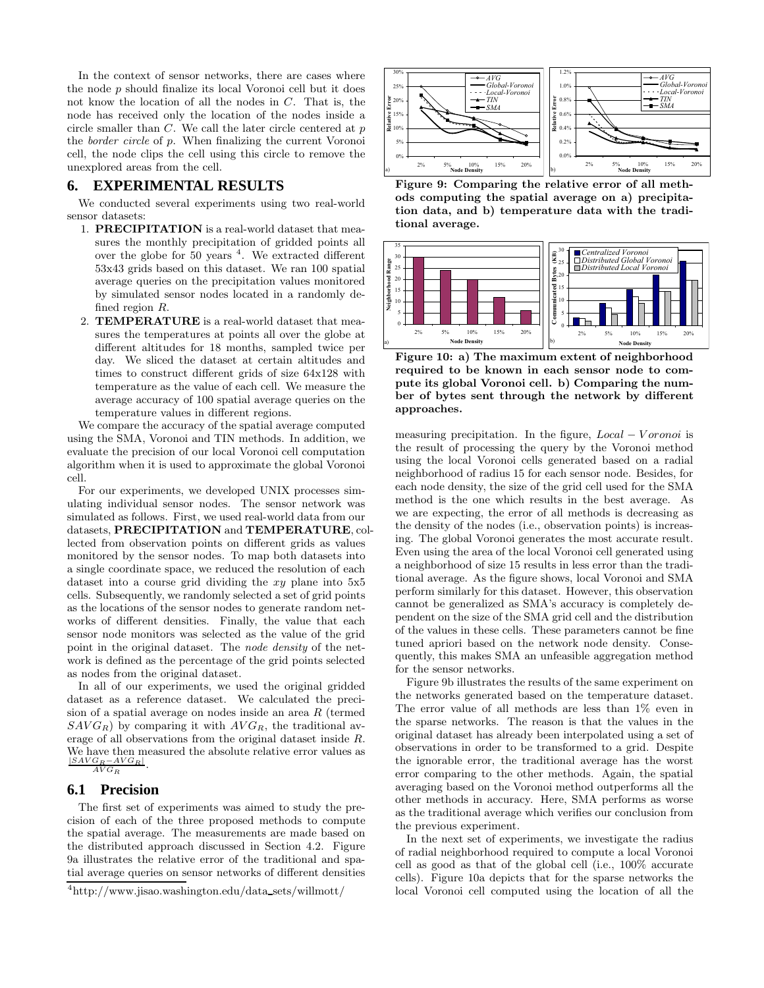In the context of sensor networks, there are cases where the node p should finalize its local Voronoi cell but it does not know the location of all the nodes in C. That is, the node has received only the location of the nodes inside a circle smaller than  $C$ . We call the later circle centered at  $p$ the *border circle* of p. When finalizing the current Voronoi cell, the node clips the cell using this circle to remove the unexplored areas from the cell.

# **6. EXPERIMENTAL RESULTS**

We conducted several experiments using two real-world sensor datasets:

- 1. **PRECIPITATION** is a real-world dataset that measures the monthly precipitation of gridded points all over the globe for 50 years <sup>4</sup>. We extracted different 53x43 grids based on this dataset. We ran 100 spatial average queries on the precipitation values monitored by simulated sensor nodes located in a randomly defined region R.
- 2. **TEMPERATURE** is a real-world dataset that measures the temperatures at points all over the globe at different altitudes for 18 months, sampled twice per day. We sliced the dataset at certain altitudes and times to construct different grids of size 64x128 with temperature as the value of each cell. We measure the average accuracy of 100 spatial average queries on the temperature values in different regions.

We compare the accuracy of the spatial average computed using the SMA, Voronoi and TIN methods. In addition, we evaluate the precision of our local Voronoi cell computation algorithm when it is used to approximate the global Voronoi cell.

For our experiments, we developed UNIX processes simulating individual sensor nodes. The sensor network was simulated as follows. First, we used real-world data from our datasets, **PRECIPITATION** and **TEMPERATURE**, collected from observation points on different grids as values monitored by the sensor nodes. To map both datasets into a single coordinate space, we reduced the resolution of each dataset into a course grid dividing the xy plane into 5x5 cells. Subsequently, we randomly selected a set of grid points as the locations of the sensor nodes to generate random networks of different densities. Finally, the value that each sensor node monitors was selected as the value of the grid point in the original dataset. The *node density* of the network is defined as the percentage of the grid points selected as nodes from the original dataset.

In all of our experiments, we used the original gridded dataset as a reference dataset. We calculated the precision of a spatial average on nodes inside an area R (termed  $SAVG_R$ ) by comparing it with  $AVG_R$ , the traditional average of all observations from the original dataset inside R. We have then measured the absolute relative error values as  $\frac{|SAVG_R - AVG_R|}{AVG_R}$ .

## **6.1 Precision**

The first set of experiments was aimed to study the precision of each of the three proposed methods to compute the spatial average. The measurements are made based on the distributed approach discussed in Section 4.2. Figure 9a illustrates the relative error of the traditional and spatial average queries on sensor networks of different densities



**Figure 9: Comparing the relative error of all methods computing the spatial average on a) precipitation data, and b) temperature data with the traditional average.**



**Figure 10: a) The maximum extent of neighborhood required to be known in each sensor node to compute its global Voronoi cell. b) Comparing the number of bytes sent through the network by different approaches.**

measuring precipitation. In the figure,  $Local - Voronoi$  is the result of processing the query by the Voronoi method using the local Voronoi cells generated based on a radial neighborhood of radius 15 for each sensor node. Besides, for each node density, the size of the grid cell used for the SMA method is the one which results in the best average. As we are expecting, the error of all methods is decreasing as the density of the nodes (i.e., observation points) is increasing. The global Voronoi generates the most accurate result. Even using the area of the local Voronoi cell generated using a neighborhood of size 15 results in less error than the traditional average. As the figure shows, local Voronoi and SMA perform similarly for this dataset. However, this observation cannot be generalized as SMA's accuracy is completely dependent on the size of the SMA grid cell and the distribution of the values in these cells. These parameters cannot be fine tuned apriori based on the network node density. Consequently, this makes SMA an unfeasible aggregation method for the sensor networks.

Figure 9b illustrates the results of the same experiment on the networks generated based on the temperature dataset. The error value of all methods are less than 1% even in the sparse networks. The reason is that the values in the original dataset has already been interpolated using a set of observations in order to be transformed to a grid. Despite the ignorable error, the traditional average has the worst error comparing to the other methods. Again, the spatial averaging based on the Voronoi method outperforms all the other methods in accuracy. Here, SMA performs as worse as the traditional average which verifies our conclusion from the previous experiment.

In the next set of experiments, we investigate the radius of radial neighborhood required to compute a local Voronoi cell as good as that of the global cell (i.e., 100% accurate cells). Figure 10a depicts that for the sparse networks the local Voronoi cell computed using the location of all the

 $^4$ http://www.jisao.washington.edu/data\_sets/willmott/